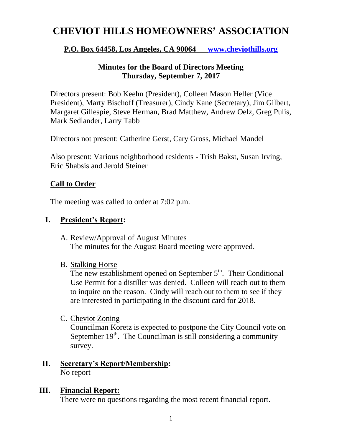# **CHEVIOT HILLS HOMEOWNERS' ASSOCIATION**

# **P.O. Box 64458, Los Angeles, CA 90064 [www.cheviothills.org](http://www.cheviothills.org/)**

# **Minutes for the Board of Directors Meeting Thursday, September 7, 2017**

Directors present: Bob Keehn (President), Colleen Mason Heller (Vice President), Marty Bischoff (Treasurer), Cindy Kane (Secretary), Jim Gilbert, Margaret Gillespie, Steve Herman, Brad Matthew, Andrew Oelz, Greg Pulis, Mark Sedlander, Larry Tabb

Directors not present: Catherine Gerst, Cary Gross, Michael Mandel

Also present: Various neighborhood residents - Trish Bakst, Susan Irving, Eric Shabsis and Jerold Steiner

# **Call to Order**

The meeting was called to order at 7:02 p.m.

# **I. President's Report:**

- A. Review/Approval of August Minutes The minutes for the August Board meeting were approved.
- B. Stalking Horse

The new establishment opened on September  $5<sup>th</sup>$ . Their Conditional Use Permit for a distiller was denied. Colleen will reach out to them to inquire on the reason. Cindy will reach out to them to see if they are interested in participating in the discount card for 2018.

C. Cheviot Zoning

Councilman Koretz is expected to postpone the City Council vote on September  $19<sup>th</sup>$ . The Councilman is still considering a community survey.

#### **II. Secretary's Report/Membership:** No report

**III. Financial Report:**

There were no questions regarding the most recent financial report.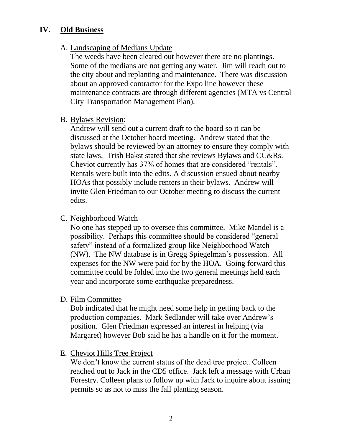## **IV. Old Business**

#### A. Landscaping of Medians Update

The weeds have been cleared out however there are no plantings. Some of the medians are not getting any water. Jim will reach out to the city about and replanting and maintenance. There was discussion about an approved contractor for the Expo line however these maintenance contracts are through different agencies (MTA vs Central City Transportation Management Plan).

#### B. Bylaws Revision:

Andrew will send out a current draft to the board so it can be discussed at the October board meeting. Andrew stated that the bylaws should be reviewed by an attorney to ensure they comply with state laws. Trish Bakst stated that she reviews Bylaws and CC&Rs. Cheviot currently has 37% of homes that are considered "rentals". Rentals were built into the edits. A discussion ensued about nearby HOAs that possibly include renters in their bylaws. Andrew will invite Glen Friedman to our October meeting to discuss the current edits.

## C. Neighborhood Watch

No one has stepped up to oversee this committee. Mike Mandel is a possibility. Perhaps this committee should be considered "general safety" instead of a formalized group like Neighborhood Watch (NW). The NW database is in Gregg Spiegelman's possession. All expenses for the NW were paid for by the HOA. Going forward this committee could be folded into the two general meetings held each year and incorporate some earthquake preparedness.

## D. Film Committee

Bob indicated that he might need some help in getting back to the production companies. Mark Sedlander will take over Andrew's position. Glen Friedman expressed an interest in helping (via Margaret) however Bob said he has a handle on it for the moment.

## E. Cheviot Hills Tree Project

We don't know the current status of the dead tree project. Colleen reached out to Jack in the CD5 office. Jack left a message with Urban Forestry. Colleen plans to follow up with Jack to inquire about issuing permits so as not to miss the fall planting season.